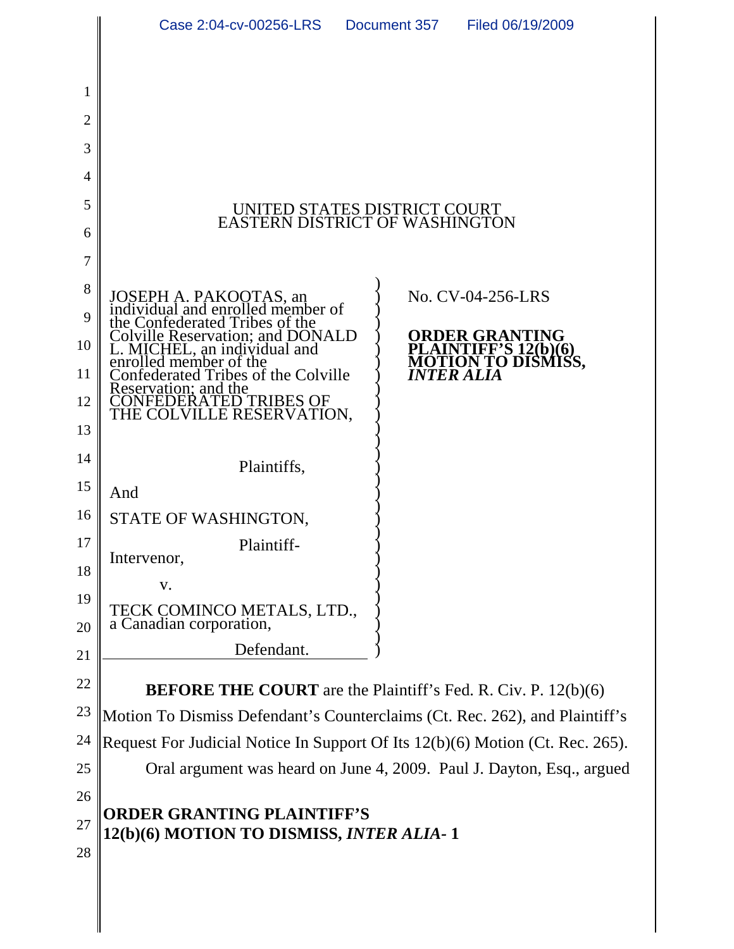|          | Case 2:04-cv-00256-LRS                                                                                                                                                                                                             | Document 357<br>Filed 06/19/2009                                       |  |
|----------|------------------------------------------------------------------------------------------------------------------------------------------------------------------------------------------------------------------------------------|------------------------------------------------------------------------|--|
|          |                                                                                                                                                                                                                                    |                                                                        |  |
| 1        |                                                                                                                                                                                                                                    |                                                                        |  |
| 2        |                                                                                                                                                                                                                                    |                                                                        |  |
| 3        |                                                                                                                                                                                                                                    |                                                                        |  |
| 4        |                                                                                                                                                                                                                                    |                                                                        |  |
| 5        | UNITED STATES DISTRICT COURT<br>EASTERN DISTRICT OF WASHINGTON                                                                                                                                                                     |                                                                        |  |
| 6        |                                                                                                                                                                                                                                    |                                                                        |  |
| 7        |                                                                                                                                                                                                                                    |                                                                        |  |
| 8        | JOSEPH A. PAKOOTAS, an<br>individual and enrolled member of<br>the Confederated Tribes of the<br>Colville Reservation; and DONALD<br>L. MICHEL, an individual and<br>enrolled member of the<br>Confederated Tribes of the Colville | No. CV-04-256-LRS                                                      |  |
| 9<br>10  |                                                                                                                                                                                                                                    | ORDER GRANTING                                                         |  |
| 11       | Confederated Tribes of the Colville                                                                                                                                                                                                | PLAINTIFF'S 12(b)(6)<br><b>MOTION TO DISMISS,</b><br><b>INTER ALIA</b> |  |
| 12       | Reservation; and the                                                                                                                                                                                                               |                                                                        |  |
| 13       | CONFEDERATED TRIBES OF<br>THE COLVILLE RESERVATION,                                                                                                                                                                                |                                                                        |  |
| 14       |                                                                                                                                                                                                                                    |                                                                        |  |
| 15       | Plaintiffs,<br>And                                                                                                                                                                                                                 |                                                                        |  |
| 16       | STATE OF WASHINGTON,                                                                                                                                                                                                               |                                                                        |  |
| 17       | Plaintiff-                                                                                                                                                                                                                         |                                                                        |  |
| 18       | Intervenor,                                                                                                                                                                                                                        |                                                                        |  |
| 19<br>20 | V.<br>TECK COMINCO METALS, LTD., a Canadian corporation,                                                                                                                                                                           |                                                                        |  |
| 21       | Defendant.                                                                                                                                                                                                                         |                                                                        |  |
| 22       | <b>BEFORE THE COURT</b> are the Plaintiff's Fed. R. Civ. P. 12(b)(6)                                                                                                                                                               |                                                                        |  |
| 23       | Motion To Dismiss Defendant's Counterclaims (Ct. Rec. 262), and Plaintiff's                                                                                                                                                        |                                                                        |  |
| 24       | Request For Judicial Notice In Support Of Its 12(b)(6) Motion (Ct. Rec. 265).                                                                                                                                                      |                                                                        |  |
| 25       | Oral argument was heard on June 4, 2009. Paul J. Dayton, Esq., argued                                                                                                                                                              |                                                                        |  |
| 26       |                                                                                                                                                                                                                                    |                                                                        |  |
| 27       | <b>ORDER GRANTING PLAINTIFF'S</b><br>12(b)(6) MOTION TO DISMISS, INTER ALIA-1                                                                                                                                                      |                                                                        |  |
| 28       |                                                                                                                                                                                                                                    |                                                                        |  |
|          |                                                                                                                                                                                                                                    |                                                                        |  |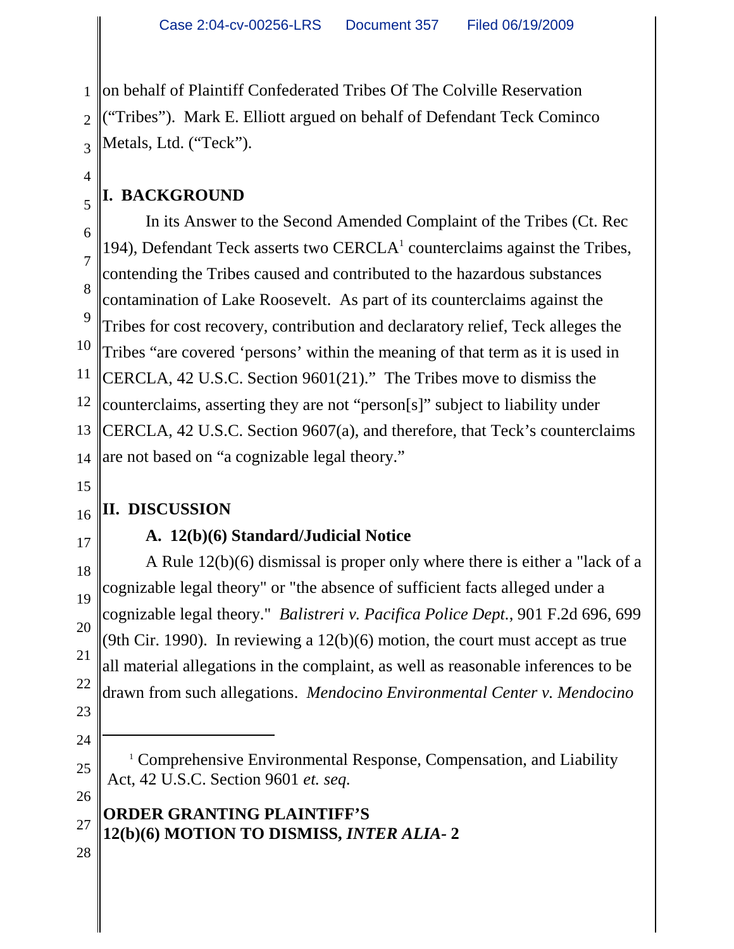1 2 3 on behalf of Plaintiff Confederated Tribes Of The Colville Reservation ("Tribes"). Mark E. Elliott argued on behalf of Defendant Teck Cominco Metals, Ltd. ("Teck").

# **I. BACKGROUND**

6 7 8 9 10 11 12 13 14 In its Answer to the Second Amended Complaint of the Tribes (Ct. Rec 194), Defendant Teck asserts two CERCLA $<sup>1</sup>$  counterclaims against the Tribes,</sup> contending the Tribes caused and contributed to the hazardous substances contamination of Lake Roosevelt. As part of its counterclaims against the Tribes for cost recovery, contribution and declaratory relief, Teck alleges the Tribes "are covered 'persons' within the meaning of that term as it is used in CERCLA, 42 U.S.C. Section 9601(21)." The Tribes move to dismiss the counterclaims, asserting they are not "person[s]" subject to liability under CERCLA, 42 U.S.C. Section 9607(a), and therefore, that Teck's counterclaims are not based on "a cognizable legal theory."

15

16

17

18

19

20

21

22

23

24

25

26

28

4

5

# **II. DISCUSSION**

## **A. 12(b)(6) Standard/Judicial Notice**

A Rule 12(b)(6) dismissal is proper only where there is either a "lack of a cognizable legal theory" or "the absence of sufficient facts alleged under a cognizable legal theory." *Balistreri v. Pacifica Police Dept.*, 901 F.2d 696, 699 (9th Cir. 1990). In reviewing a  $12(b)(6)$  motion, the court must accept as true all material allegations in the complaint, as well as reasonable inferences to be drawn from such allegations. *Mendocino Environmental Center v. Mendocino*

<sup>&</sup>lt;sup>1</sup> Comprehensive Environmental Response, Compensation, and Liability Act, 42 U.S.C. Section 9601 *et. seq.*

<sup>27</sup>  **ORDER GRANTING PLAINTIFF'S 12(b)(6) MOTION TO DISMISS,** *INTER ALIA-* **2**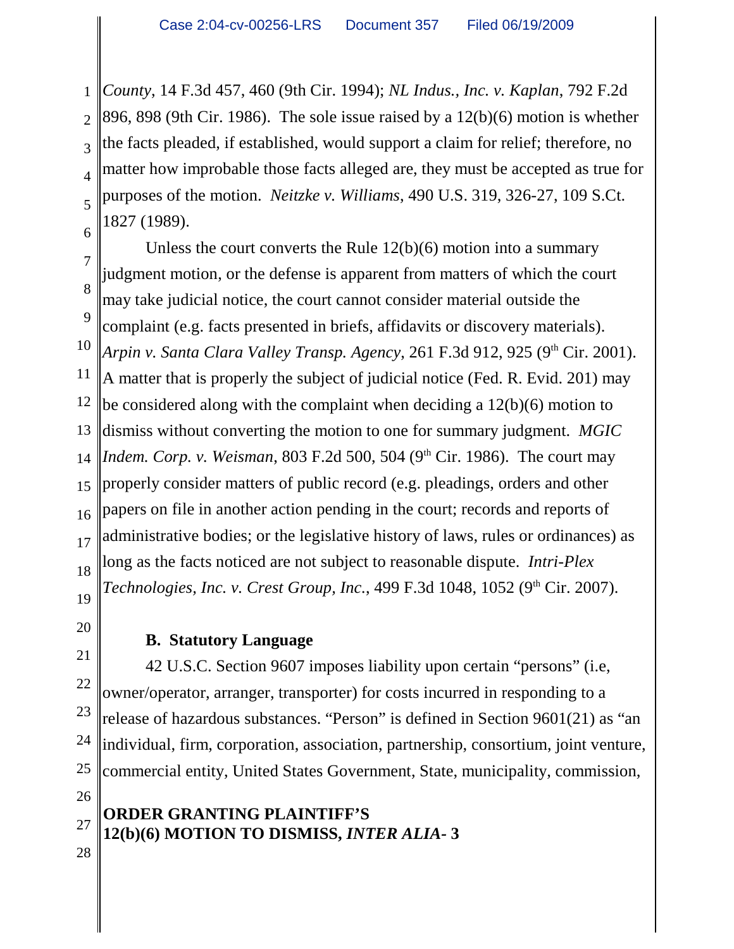1 2 3 4 5 6 *County*, 14 F.3d 457, 460 (9th Cir. 1994); *NL Indus., Inc. v. Kaplan*, 792 F.2d 896, 898 (9th Cir. 1986). The sole issue raised by a 12(b)(6) motion is whether the facts pleaded, if established, would support a claim for relief; therefore, no matter how improbable those facts alleged are, they must be accepted as true for purposes of the motion. *Neitzke v. Williams*, 490 U.S. 319, 326-27, 109 S.Ct. 1827 (1989).

7 8 9 10 11 12 13 14 Unless the court converts the Rule 12(b)(6) motion into a summary judgment motion, or the defense is apparent from matters of which the court may take judicial notice, the court cannot consider material outside the complaint (e.g. facts presented in briefs, affidavits or discovery materials). *Arpin v. Santa Clara Valley Transp. Agency*, 261 F.3d 912, 925 (9<sup>th</sup> Cir. 2001). A matter that is properly the subject of judicial notice (Fed. R. Evid. 201) may be considered along with the complaint when deciding a 12(b)(6) motion to dismiss without converting the motion to one for summary judgment. *MGIC Indem. Corp. v. Weisman, 803 F.2d 500, 504 (9<sup>th</sup> Cir. 1986). The court may* properly consider matters of public record (e.g. pleadings, orders and other papers on file in another action pending in the court; records and reports of administrative bodies; or the legislative history of laws, rules or ordinances) as long as the facts noticed are not subject to reasonable dispute. *Intri-Plex Technologies, Inc. v. Crest Group, Inc.,* 499 F.3d 1048, 1052 (9<sup>th</sup> Cir. 2007).

## **B. Statutory Language**

42 U.S.C. Section 9607 imposes liability upon certain "persons" (i.e, owner/operator, arranger, transporter) for costs incurred in responding to a release of hazardous substances. "Person" is defined in Section 9601(21) as "an individual, firm, corporation, association, partnership, consortium, joint venture, commercial entity, United States Government, State, municipality, commission,

27 28  **ORDER GRANTING PLAINTIFF'S 12(b)(6) MOTION TO DISMISS,** *INTER ALIA-* **3**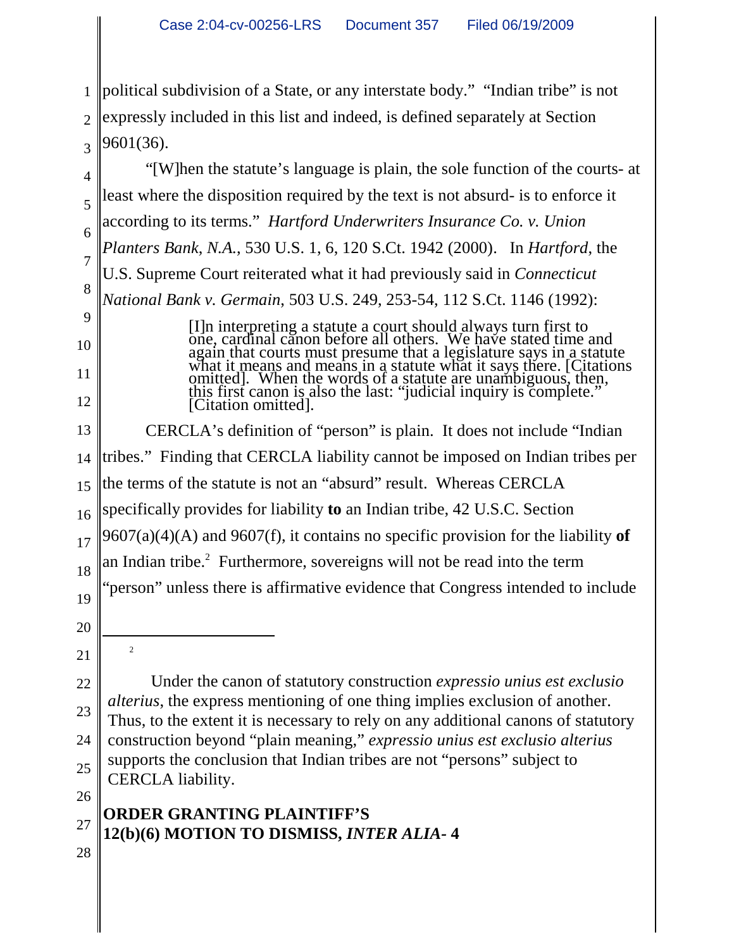1 2 3 political subdivision of a State, or any interstate body." "Indian tribe" is not expressly included in this list and indeed, is defined separately at Section 9601(36).

"[W]hen the statute's language is plain, the sole function of the courts- at least where the disposition required by the text is not absurd- is to enforce it according to its terms." *Hartford Underwriters Insurance Co. v. Union Planters Bank*, *N.A.*, 530 U.S. 1, 6, 120 S.Ct. 1942 (2000). In *Hartford*, the U.S. Supreme Court reiterated what it had previously said in *Connecticut National Bank v. Germain*, 503 U.S. 249, 253-54, 112 S.Ct. 1146 (1992): [I]n interpreting a statute a court should always turn first to

one, cardinal canon before all others. We have stated time and again that courts must presume that a legislature says in a statute what it means and means in a statute what it says there. [Citations omitted]. When the words of a statute are unambiguous, then, this first canon is also the last: "judicial inquiry is complete." [Citation omitted].

13 14 15 16 17 18 19 20 CERCLA's definition of "person" is plain. It does not include "Indian tribes." Finding that CERCLA liability cannot be imposed on Indian tribes per the terms of the statute is not an "absurd" result. Whereas CERCLA specifically provides for liability **to** an Indian tribe, 42 U.S.C. Section 9607(a)(4)(A) and 9607(f), it contains no specific provision for the liability **of** an Indian tribe.<sup>2</sup> Furthermore, sovereigns will not be read into the term "person" unless there is affirmative evidence that Congress intended to include

21

2

22

23

24

25

26

4

5

6

7

8

9

10

11

12

Under the canon of statutory construction *expressio unius est exclusio alterius*, the express mentioning of one thing implies exclusion of another. Thus, to the extent it is necessary to rely on any additional canons of statutory construction beyond "plain meaning," *expressio unius est exclusio alterius* supports the conclusion that Indian tribes are not "persons" subject to CERCLA liability.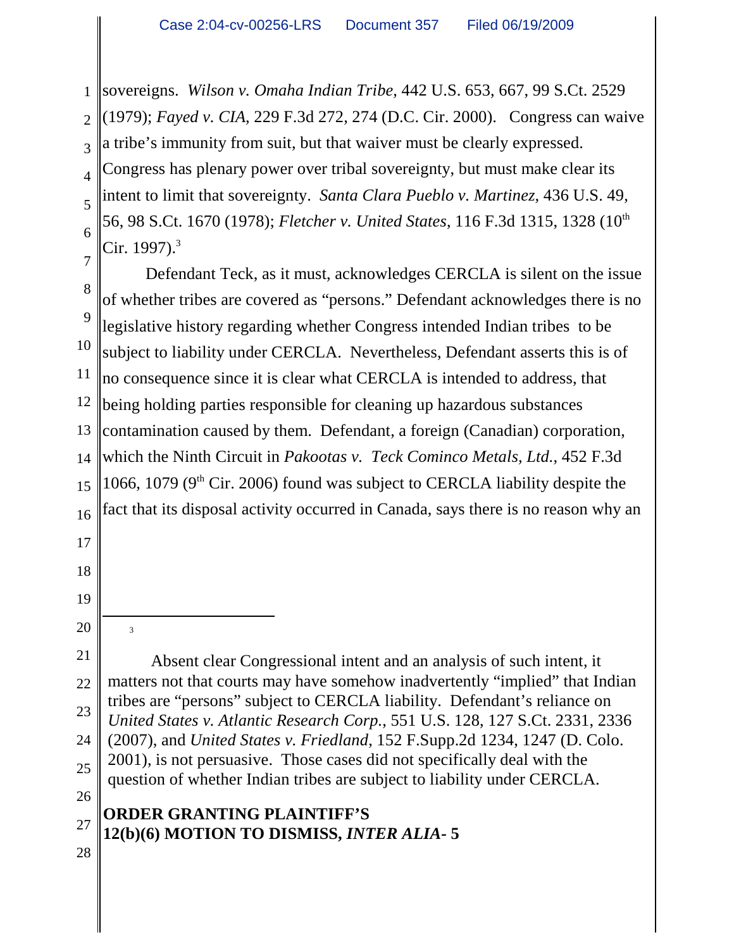1 2 3 4 5 6 7 sovereigns. *Wilson v. Omaha Indian Tribe*, 442 U.S. 653, 667, 99 S.Ct. 2529 (1979); *Fayed v. CIA*, 229 F.3d 272, 274 (D.C. Cir. 2000). Congress can waive a tribe's immunity from suit, but that waiver must be clearly expressed. Congress has plenary power over tribal sovereignty, but must make clear its intent to limit that sovereignty. *Santa Clara Pueblo v. Martinez*, 436 U.S. 49, 56, 98 S.Ct. 1670 (1978); *Fletcher v. United States*, 116 F.3d 1315, 1328 (10th Cir. 1997). $3$ 

8 9 10 11 12 13 14 15 16 Defendant Teck, as it must, acknowledges CERCLA is silent on the issue of whether tribes are covered as "persons." Defendant acknowledges there is no legislative history regarding whether Congress intended Indian tribes to be subject to liability under CERCLA. Nevertheless, Defendant asserts this is of no consequence since it is clear what CERCLA is intended to address, that being holding parties responsible for cleaning up hazardous substances contamination caused by them. Defendant, a foreign (Canadian) corporation, which the Ninth Circuit in *Pakootas v. Teck Cominco Metals, Ltd.*, 452 F.3d 1066, 1079 ( $9<sup>th</sup>$  Cir. 2006) found was subject to CERCLA liability despite the fact that its disposal activity occurred in Canada, says there is no reason why an

17

18

19

20 21

3

22

23

24

25

26

Absent clear Congressional intent and an analysis of such intent, it matters not that courts may have somehow inadvertently "implied" that Indian tribes are "persons" subject to CERCLA liability. Defendant's reliance on *United States v. Atlantic Research Corp.*, 551 U.S. 128, 127 S.Ct. 2331, 2336 (2007), and *United States v. Friedland*, 152 F.Supp.2d 1234, 1247 (D. Colo. 2001), is not persuasive. Those cases did not specifically deal with the question of whether Indian tribes are subject to liability under CERCLA.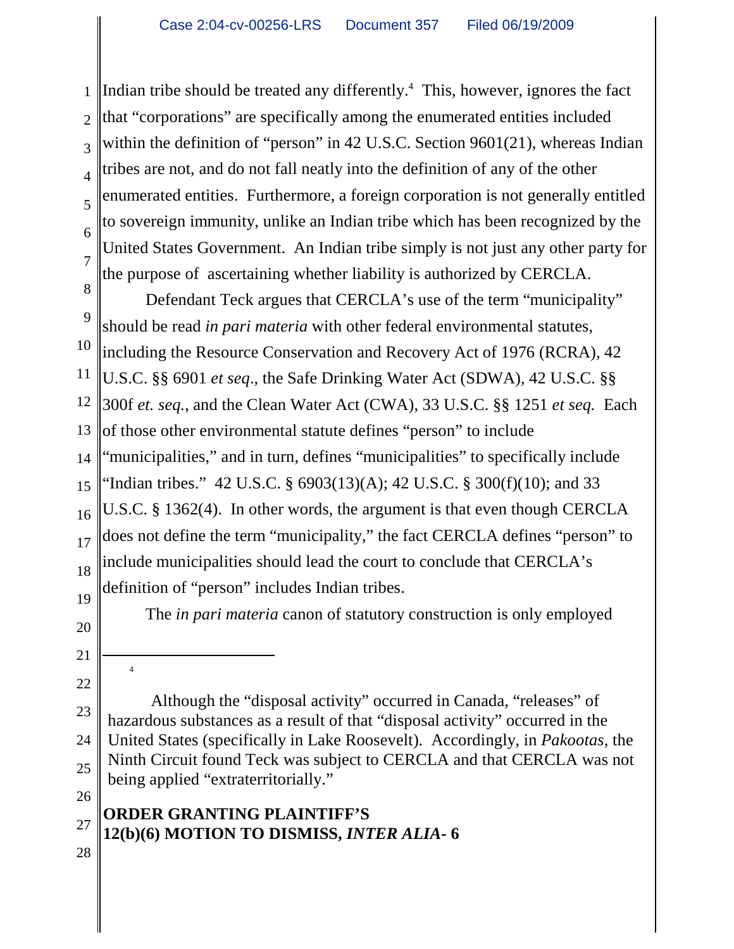1 2 3 4 5 6 7 Indian tribe should be treated any differently. $4$  This, however, ignores the fact that "corporations" are specifically among the enumerated entities included within the definition of "person" in 42 U.S.C. Section 9601(21), whereas Indian tribes are not, and do not fall neatly into the definition of any of the other enumerated entities. Furthermore, a foreign corporation is not generally entitled to sovereign immunity, unlike an Indian tribe which has been recognized by the United States Government. An Indian tribe simply is not just any other party for the purpose of ascertaining whether liability is authorized by CERCLA.

8 9 10 11 12 13 14 15 16 17 18 19 Defendant Teck argues that CERCLA's use of the term "municipality" should be read *in pari materia* with other federal environmental statutes, including the Resource Conservation and Recovery Act of 1976 (RCRA), 42 U.S.C. §§ 6901 *et seq*., the Safe Drinking Water Act (SDWA), 42 U.S.C. §§ 300f *et. seq.*, and the Clean Water Act (CWA), 33 U.S.C. §§ 1251 *et seq.* Each of those other environmental statute defines "person" to include "municipalities," and in turn, defines "municipalities" to specifically include "Indian tribes." 42 U.S.C. § 6903(13)(A); 42 U.S.C. § 300(f)(10); and 33 U.S.C. § 1362(4). In other words, the argument is that even though CERCLA does not define the term "municipality," the fact CERCLA defines "person" to include municipalities should lead the court to conclude that CERCLA's definition of "person" includes Indian tribes.

The *in pari materia* canon of statutory construction is only employed

21 22

4

23

24

25

26

20

Although the "disposal activity" occurred in Canada, "releases" of hazardous substances as a result of that "disposal activity" occurred in the United States (specifically in Lake Roosevelt). Accordingly, in *Pakootas*, the Ninth Circuit found Teck was subject to CERCLA and that CERCLA was not being applied "extraterritorially."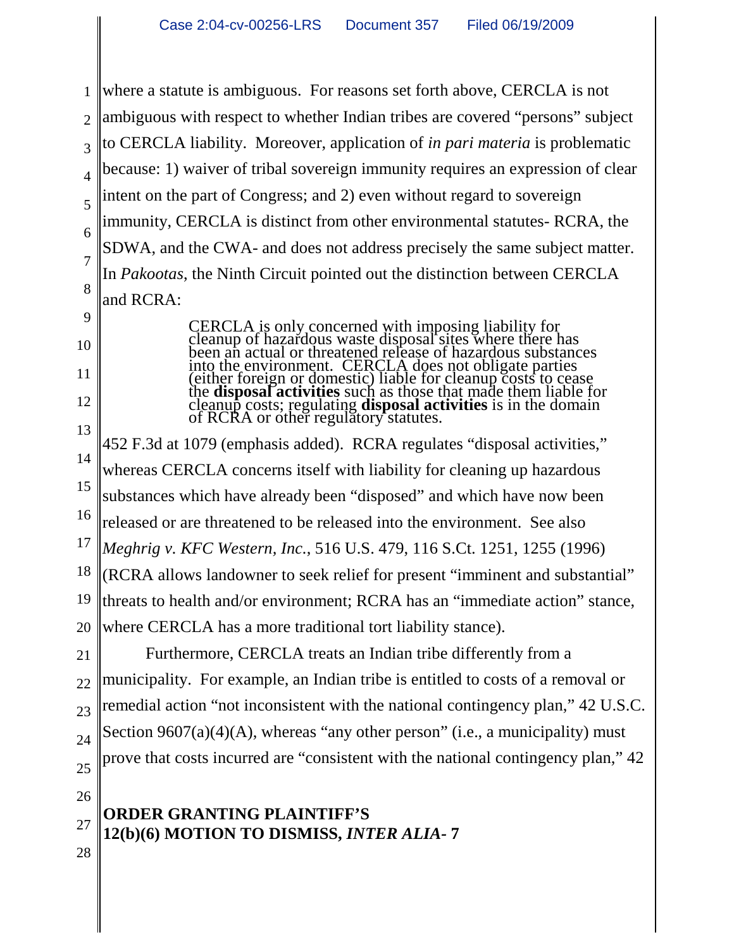1 2 3 4 5 6 7 8 9 10 11 12 13 14 15 16 17 18 19 20 21 22 23 24 25 26 27 28  **ORDER GRANTING PLAINTIFF'S 12(b)(6) MOTION TO DISMISS,** *INTER ALIA-* **7** where a statute is ambiguous. For reasons set forth above, CERCLA is not ambiguous with respect to whether Indian tribes are covered "persons" subject to CERCLA liability. Moreover, application of *in pari materia* is problematic because: 1) waiver of tribal sovereign immunity requires an expression of clear intent on the part of Congress; and 2) even without regard to sovereign immunity, CERCLA is distinct from other environmental statutes- RCRA, the SDWA, and the CWA- and does not address precisely the same subject matter. In *Pakootas*, the Ninth Circuit pointed out the distinction between CERCLA and RCRA: CERCLA is only concerned with imposing liability for cleanup of hazardous waste disposal sites where there has been an actual or threatened release of hazardous substances into the environment. CERCLA does not obligate parties (either foreign or domestic) liable for cleanup costs to cease the **disposal activities** such as those that made them liable for cleanup costs; regulating **disposal activities** is in the domain of RCRA or other regulatory statutes. 452 F.3d at 1079 (emphasis added). RCRA regulates "disposal activities," whereas CERCLA concerns itself with liability for cleaning up hazardous substances which have already been "disposed" and which have now been released or are threatened to be released into the environment. See also *Meghrig v. KFC Western, Inc.*, 516 U.S. 479, 116 S.Ct. 1251, 1255 (1996) (RCRA allows landowner to seek relief for present "imminent and substantial" threats to health and/or environment; RCRA has an "immediate action" stance, where CERCLA has a more traditional tort liability stance). Furthermore, CERCLA treats an Indian tribe differently from a municipality. For example, an Indian tribe is entitled to costs of a removal or remedial action "not inconsistent with the national contingency plan," 42 U.S.C. Section  $9607(a)(4)(A)$ , whereas "any other person" (i.e., a municipality) must prove that costs incurred are "consistent with the national contingency plan," 42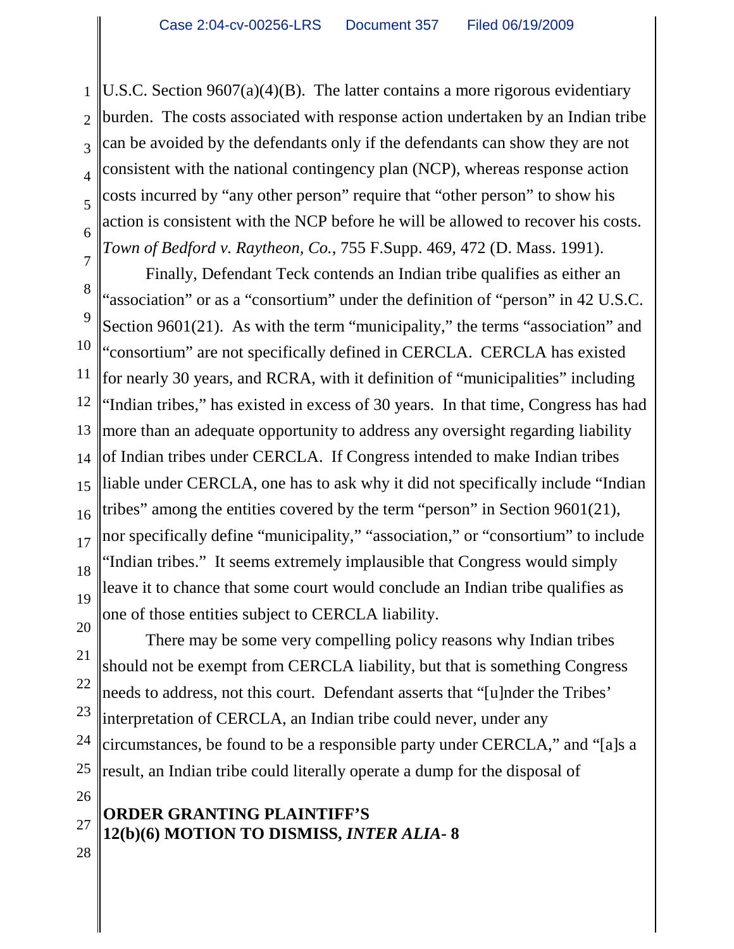1 2 3 4 5 6 U.S.C. Section 9607(a)(4)(B). The latter contains a more rigorous evidentiary burden. The costs associated with response action undertaken by an Indian tribe can be avoided by the defendants only if the defendants can show they are not consistent with the national contingency plan (NCP), whereas response action costs incurred by "any other person" require that "other person" to show his action is consistent with the NCP before he will be allowed to recover his costs. *Town of Bedford v. Raytheon, Co.*, 755 F.Supp. 469, 472 (D. Mass. 1991).

7 8 9 10 11 12 13 14 15 16 17 18 19 Finally, Defendant Teck contends an Indian tribe qualifies as either an "association" or as a "consortium" under the definition of "person" in 42 U.S.C. Section 9601(21). As with the term "municipality," the terms "association" and "consortium" are not specifically defined in CERCLA. CERCLA has existed for nearly 30 years, and RCRA, with it definition of "municipalities" including "Indian tribes," has existed in excess of 30 years. In that time, Congress has had more than an adequate opportunity to address any oversight regarding liability of Indian tribes under CERCLA. If Congress intended to make Indian tribes liable under CERCLA, one has to ask why it did not specifically include "Indian tribes" among the entities covered by the term "person" in Section 9601(21), nor specifically define "municipality," "association," or "consortium" to include "Indian tribes." It seems extremely implausible that Congress would simply leave it to chance that some court would conclude an Indian tribe qualifies as one of those entities subject to CERCLA liability.

20 21 22 23 24 25 There may be some very compelling policy reasons why Indian tribes should not be exempt from CERCLA liability, but that is something Congress needs to address, not this court. Defendant asserts that "[u]nder the Tribes' interpretation of CERCLA, an Indian tribe could never, under any circumstances, be found to be a responsible party under CERCLA," and "[a]s a result, an Indian tribe could literally operate a dump for the disposal of

27 28  **ORDER GRANTING PLAINTIFF'S 12(b)(6) MOTION TO DISMISS,** *INTER ALIA-* **8**

26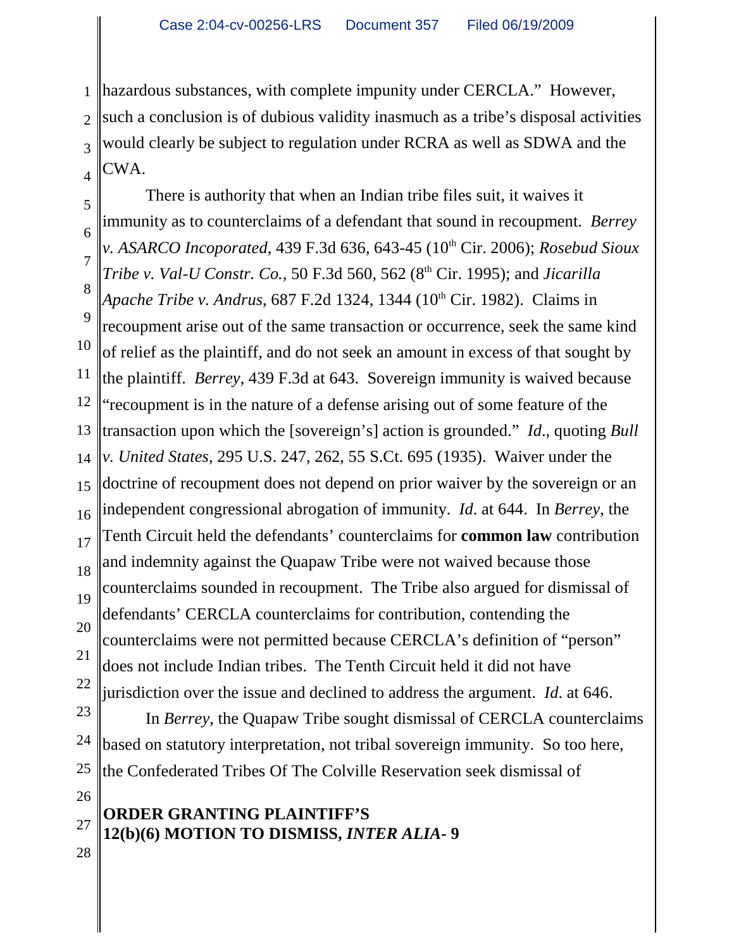1 2 3 4 hazardous substances, with complete impunity under CERCLA." However, such a conclusion is of dubious validity inasmuch as a tribe's disposal activities would clearly be subject to regulation under RCRA as well as SDWA and the CWA.

5 6 7 8 9 10 11 12 13 14 15 16 17 18 19 20 21 22 There is authority that when an Indian tribe files suit, it waives it immunity as to counterclaims of a defendant that sound in recoupment. *Berrey v. ASARCO Incoporated, 439 F.3d 636, 643-45 (10<sup>th</sup> Cir. 2006); <i>Rosebud Sioux Tribe v. Val-U Constr. Co.*, 50 F.3d 560, 562 (8<sup>th</sup> Cir. 1995); and *Jicarilla Apache Tribe v. Andrus, 687 F.2d 1324, 1344 (10<sup>th</sup> Cir. 1982). Claims in* recoupment arise out of the same transaction or occurrence, seek the same kind of relief as the plaintiff, and do not seek an amount in excess of that sought by the plaintiff. *Berrey*, 439 F.3d at 643. Sovereign immunity is waived because "recoupment is in the nature of a defense arising out of some feature of the transaction upon which the [sovereign's] action is grounded." *Id*., quoting *Bull v. United States*, 295 U.S. 247, 262, 55 S.Ct. 695 (1935). Waiver under the doctrine of recoupment does not depend on prior waiver by the sovereign or an independent congressional abrogation of immunity. *Id*. at 644. In *Berrey*, the Tenth Circuit held the defendants' counterclaims for **common law** contribution and indemnity against the Quapaw Tribe were not waived because those counterclaims sounded in recoupment. The Tribe also argued for dismissal of defendants' CERCLA counterclaims for contribution, contending the counterclaims were not permitted because CERCLA's definition of "person" does not include Indian tribes. The Tenth Circuit held it did not have jurisdiction over the issue and declined to address the argument. *Id*. at 646.

23 24 25 In *Berrey*, the Quapaw Tribe sought dismissal of CERCLA counterclaims based on statutory interpretation, not tribal sovereign immunity. So too here, the Confederated Tribes Of The Colville Reservation seek dismissal of

#### 27 28  **ORDER GRANTING PLAINTIFF'S 12(b)(6) MOTION TO DISMISS,** *INTER ALIA-* **9**

26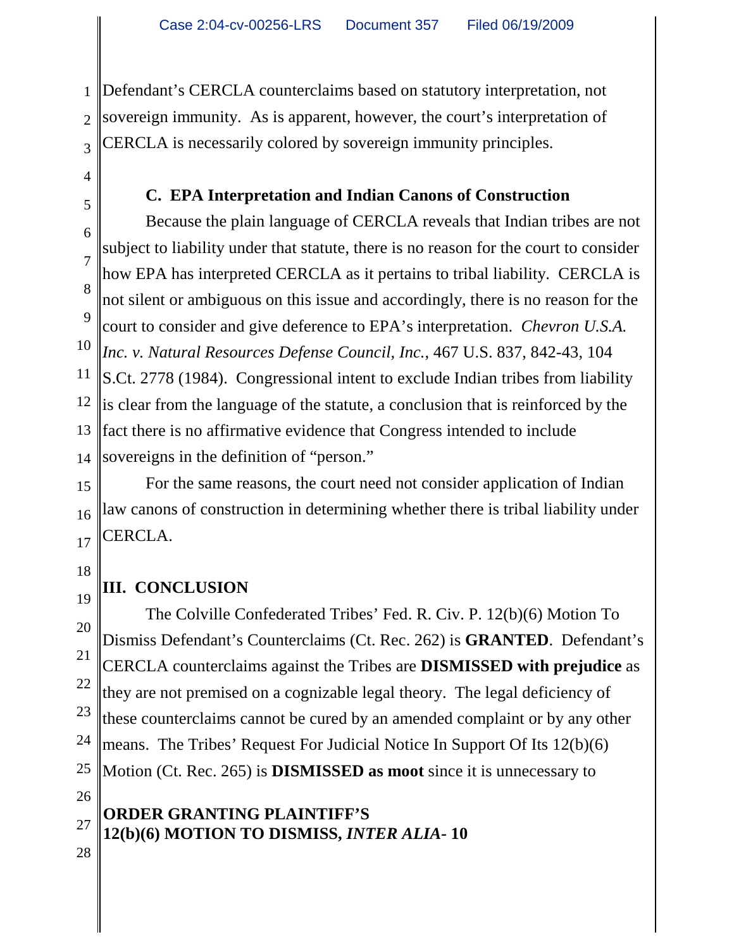1 2 3 Defendant's CERCLA counterclaims based on statutory interpretation, not sovereign immunity. As is apparent, however, the court's interpretation of CERCLA is necessarily colored by sovereign immunity principles.

### **C. EPA Interpretation and Indian Canons of Construction**

6 7 8 9 10 11 12 13 14 Because the plain language of CERCLA reveals that Indian tribes are not subject to liability under that statute, there is no reason for the court to consider how EPA has interpreted CERCLA as it pertains to tribal liability. CERCLA is not silent or ambiguous on this issue and accordingly, there is no reason for the court to consider and give deference to EPA's interpretation. *Chevron U.S.A. Inc. v. Natural Resources Defense Council, Inc.*, 467 U.S. 837, 842-43, 104 S.Ct. 2778 (1984). Congressional intent to exclude Indian tribes from liability is clear from the language of the statute, a conclusion that is reinforced by the fact there is no affirmative evidence that Congress intended to include sovereigns in the definition of "person."

15 16 17 For the same reasons, the court need not consider application of Indian law canons of construction in determining whether there is tribal liability under CERCLA.

18

4

5

## **III. CONCLUSION**

19 20 21 22 23 24 25 The Colville Confederated Tribes' Fed. R. Civ. P. 12(b)(6) Motion To Dismiss Defendant's Counterclaims (Ct. Rec. 262) is **GRANTED**. Defendant's CERCLA counterclaims against the Tribes are **DISMISSED with prejudice** as they are not premised on a cognizable legal theory.The legal deficiency of these counterclaims cannot be cured by an amended complaint or by any other means. The Tribes' Request For Judicial Notice In Support Of Its 12(b)(6) Motion (Ct. Rec. 265) is **DISMISSED as moot** since it is unnecessary to

26